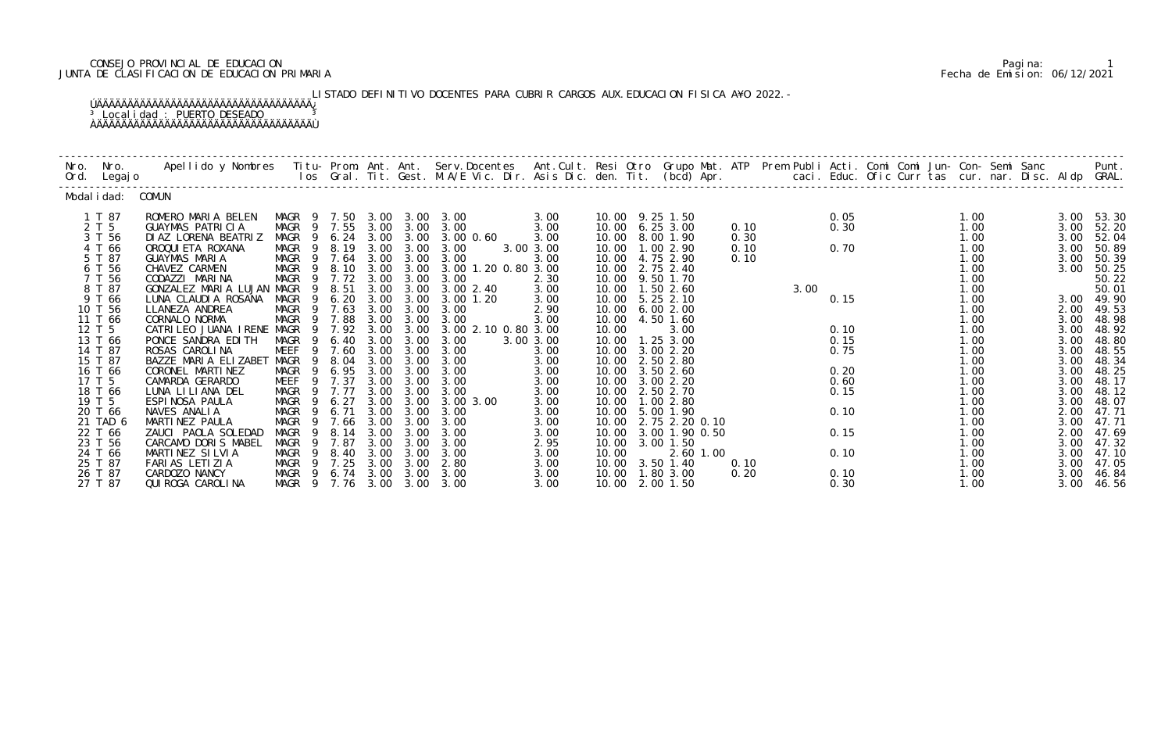# CONSEJO PROVINCIAL DE EDUCACION Pagina: 1 JUNTA DE CLASIFICACION DE EDUCACION PRIMARIA Fecha de Emision: 06/12/2021

LISTADO DEFINITIVO DOCENTES PARA CUBRIR CARGOS AUX. EDUCACION FISICA A¥O 2022. – ÚÄÄÄÄÄÄÄÄÄÄÄÄÄÄÄÄÄÄÄÄÄÄÄÄÄÄÄÄÄÄÄÄÄÄÄ¿ <sup>3</sup> Localidad : PUERTO DESEADO <sup>3</sup> ÀÄÄÄÄÄÄÄÄÄÄÄÄÄÄÄÄÄÄÄÄÄÄÄÄÄÄÄÄÄÄÄÄÄÄÄÙ

| Nro. | Nro.<br>Ord. Legajo                                                                                                                                                                                                     | Apellido y Nombres - Titu- Prom. Ant. Ant. Serv.Docentes - Ant.Cult. Resi Otro Grupo Mat. ATP - Prem Publi Acti. Comi Comi Jun- Con- Semi Sanc - - - Punt.<br>Ios Gral. Tit. Gest. M.A/E Vic. Dir. Asis Dic. den. Tit. (bcd) Apr.                                                                                                                                                                                                                        |                                                                                                                                                                                                                                                                              |                                                                                                                                                                                    |                                                                                                                      |                                                                                                                                                        |                                                                                                                                                                                                                                           |                                                                                                                                                                |                                                                                                 |                                                                                                                                                                                                                                                                                                                                           |                              |      |                                                                                      |                                                                                                                                                                      |                                                                                                                                              |                                                                                                                                                                                                |
|------|-------------------------------------------------------------------------------------------------------------------------------------------------------------------------------------------------------------------------|----------------------------------------------------------------------------------------------------------------------------------------------------------------------------------------------------------------------------------------------------------------------------------------------------------------------------------------------------------------------------------------------------------------------------------------------------------|------------------------------------------------------------------------------------------------------------------------------------------------------------------------------------------------------------------------------------------------------------------------------|------------------------------------------------------------------------------------------------------------------------------------------------------------------------------------|----------------------------------------------------------------------------------------------------------------------|--------------------------------------------------------------------------------------------------------------------------------------------------------|-------------------------------------------------------------------------------------------------------------------------------------------------------------------------------------------------------------------------------------------|----------------------------------------------------------------------------------------------------------------------------------------------------------------|-------------------------------------------------------------------------------------------------|-------------------------------------------------------------------------------------------------------------------------------------------------------------------------------------------------------------------------------------------------------------------------------------------------------------------------------------------|------------------------------|------|--------------------------------------------------------------------------------------|----------------------------------------------------------------------------------------------------------------------------------------------------------------------|----------------------------------------------------------------------------------------------------------------------------------------------|------------------------------------------------------------------------------------------------------------------------------------------------------------------------------------------------|
|      | Modal i dad: COMUN                                                                                                                                                                                                      |                                                                                                                                                                                                                                                                                                                                                                                                                                                          |                                                                                                                                                                                                                                                                              |                                                                                                                                                                                    |                                                                                                                      |                                                                                                                                                        |                                                                                                                                                                                                                                           |                                                                                                                                                                |                                                                                                 |                                                                                                                                                                                                                                                                                                                                           |                              |      |                                                                                      |                                                                                                                                                                      |                                                                                                                                              |                                                                                                                                                                                                |
|      | 1 T 87<br>2 T 5<br>3 T 56<br>4 T 66<br>5 T 87<br>6 T 56<br>7 T 56<br>8 T 87<br>9 T 66<br>10 T 56<br>11 T 66<br>12 T 5<br>13 T 66<br>14 T 87<br>15 T 87<br>16 T 66<br>17 T 5<br>18 T 66<br>19 T 5<br>20 T 66<br>21 TAD 6 | ROMERO MARIA BELEN<br><b>GUAYMAS PATRICIA</b><br>DI AZ LORENA BEATRIZ<br>OROQUI ETA ROXANA<br><b>GUAYMAS MARIA</b><br>CHAVEZ CARMEN<br>CODAZZI MARINA<br>GONZALEZ MARIA LUJAN MAGR<br>LUNA CLAUDIA ROSANA<br>LLANEZA ANDREA<br>CORNALO NORMA<br>CATRILEO JUANA IRENE MAGR<br>PONCE SANDRA EDITH<br>ROSAS CAROLINA<br>BAZZE MARIA ELIZABET<br>CORONEL MARTINEZ<br>CAMARDA GERARDO<br>LUNA LILIANA DEL<br>ESPINOSA PAULA<br>NAVES ANALIA<br>MARTINEZ PAULA | MAGR<br>- 9<br>MAGR<br>MAGR<br>$\overline{9}$<br>MAGR<br>- 9<br>MAGR 9 7.64<br>MAGR<br>- 9<br>MAGR<br>9<br>9<br>MAGR<br>- 9<br>MAGR<br>9<br>MAGR<br>MAGR<br>- 9<br>MEEF<br>9<br>MAGR<br>9<br>MAGR<br>9<br>MEEF<br>MAGR<br>MAGR<br>$\overline{9}$<br>MAGR<br>- 9<br>MAGR<br>9 | 7.50<br>9 7.55<br>6.24 3.00 3.00<br>8.19 3.00<br>7.72<br>8.51<br>6.20<br>9 7.63<br>7.88<br>9 7.92 3.00<br>6.40<br>7.60<br>8.04<br>6.95<br>9 7.37<br>9 7.77<br>6.27<br>6.71<br>7.66 | 3.00<br>3.00<br>3.00<br>3.00<br>3.00<br>3.00<br>3.00<br>3.00<br>3.00<br>3.00<br>3.00<br>3.00<br>3.00<br>3.00<br>3.00 | 3.00<br>3.00<br>8.10 3.00 3.00<br>3.00<br>3.00<br>3.00<br>3.00<br>3.00<br>3.00<br>3.00<br>3.00<br>3.00<br>3.00<br>3.00<br>3.00<br>3.00<br>3.00<br>3.00 | 3.00 3.00 3.00<br>3.00 3.00 3.00<br>3.00 0.60<br>3.00<br>3.00<br>3.00 1.20 0.80 3.00<br>3.00<br>3.002.40<br>3.00 1.20<br>3.00<br>3.00<br>3.00 2.10 0.80 3.00<br>3.00<br>3.00<br>3.00<br>3.00<br>3.00<br>3.00<br>3.00 3.00<br>3.00<br>3.00 | 3.00<br>3.00<br>3.00<br>3.00 3.00<br>3.00<br>2.30<br>3.00<br>3.00<br>2.90<br>3.00<br>3.00 3.00<br>3.00<br>3.00<br>3.00<br>3.00<br>3.00<br>3.00<br>3.00<br>3.00 | 10.00<br>10.00<br>10.00<br>10.00<br>10.00<br>10.00<br>10.00<br>10.00<br>10.00<br>10.00<br>10.00 | 10.00 9.25 1.50<br>10.00 6.25 3.00<br>8.00 1.90<br>10.00 1.00 2.90<br>10.00 4.75 2.90<br>10.00 2.75 2.40<br>9.50 1.70<br>1.502.60<br>10.00 5.25 2.10<br>6.002.00<br>4.50 1.60<br>3.00<br>10.00  1.25  3.00<br>3.00 2.20<br>2.50 2.80<br>3.50 2.60<br>10.00 3.00 2.20<br>10.00 2.50 2.70<br>1.00 2.80<br>5.00 1.90<br>10.00 2.75 2.20 0.10 | 0.10<br>0.30<br>0.10<br>0.10 | 3.00 | 0.05<br>0.30<br>0.70<br>0.15<br>0.10<br>0.15<br>0.75<br>0.20<br>0.60<br>0.15<br>0.10 | 1.00<br>1.00<br>1.00<br>1.00<br>1.00<br>1.00<br>1.00<br>1.00<br>1.00<br>1.00<br>1.00<br>1.00<br>1.00<br>1.00<br>1.00<br>1.00<br>1.00<br>1.00<br>1.00<br>1.00<br>1.00 | 3.00<br>3.00<br>3.00<br>3.00<br>3.00<br>3.00<br>2.00<br>3.00<br>3.00<br>3.00<br>3.00<br>3.00<br>3.00<br>3.00<br>3.00<br>3.00<br>2.00<br>3.00 | 53.30<br>52.20<br>52.04<br>50.89<br>50.39<br>50.25<br>50.22<br>50.01<br>3.00 49.90<br>49.53<br>48.98<br>48.92<br>48.80<br>48.55<br>48.34<br>48.25<br>48.17<br>48.12<br>48.07<br>47.71<br>47.71 |
|      | 22 T 66<br>23 T 56<br>24 T 66                                                                                                                                                                                           | ZAUCI PAOLA SOLEDAD<br>CARCAMO DORIS MABEL<br>MARTINEZ SILVIA                                                                                                                                                                                                                                                                                                                                                                                            | <b>MAGR</b><br>9<br>MAGR<br>MAGR<br>- 9                                                                                                                                                                                                                                      | 8.14<br>7.87<br>8.40                                                                                                                                                               | 3.00<br>3.00<br>3.00                                                                                                 | 3.00<br>3.00<br>3.00                                                                                                                                   | 3.00<br>3.00<br>3.00                                                                                                                                                                                                                      | 3.00<br>2.95<br>3.00                                                                                                                                           | 10.00<br>10.00                                                                                  | 10.00 3.00 1.90 0.50<br>3.00 1.50<br>2.60 1.00                                                                                                                                                                                                                                                                                            |                              |      | 0.15<br>0.10                                                                         | 1.00<br>1.00<br>1.00                                                                                                                                                 | 2.00<br>3.00<br>3.00                                                                                                                         | 47.69<br>47.32<br>47.10                                                                                                                                                                        |
|      | 25 T 87<br>26 T 87<br>27 T 87                                                                                                                                                                                           | FARIAS LETIZIA<br>CARDOZO NANCY<br>QUI ROGA CAROLINA                                                                                                                                                                                                                                                                                                                                                                                                     | MAGR 9 7.25<br>MAGR 9 6.74 3.00 3.00<br>MAGR 9 7.76 3.00 3.00                                                                                                                                                                                                                |                                                                                                                                                                                    | 3.00                                                                                                                 | 3.00                                                                                                                                                   | 2.80<br>3.00<br>3.00                                                                                                                                                                                                                      | 3.00<br>3.00<br>3.00                                                                                                                                           |                                                                                                 | 10.00 3.50 1.40<br>10.00  1.80  3.00<br>10.00 2.00 1.50                                                                                                                                                                                                                                                                                   | 0.10<br>0.20                 |      | 0.10<br>0.30                                                                         | 1.00<br>1.00<br>1.00                                                                                                                                                 | 3.00<br>3.00<br>3.00                                                                                                                         | 47.05<br>46.84<br>46.56                                                                                                                                                                        |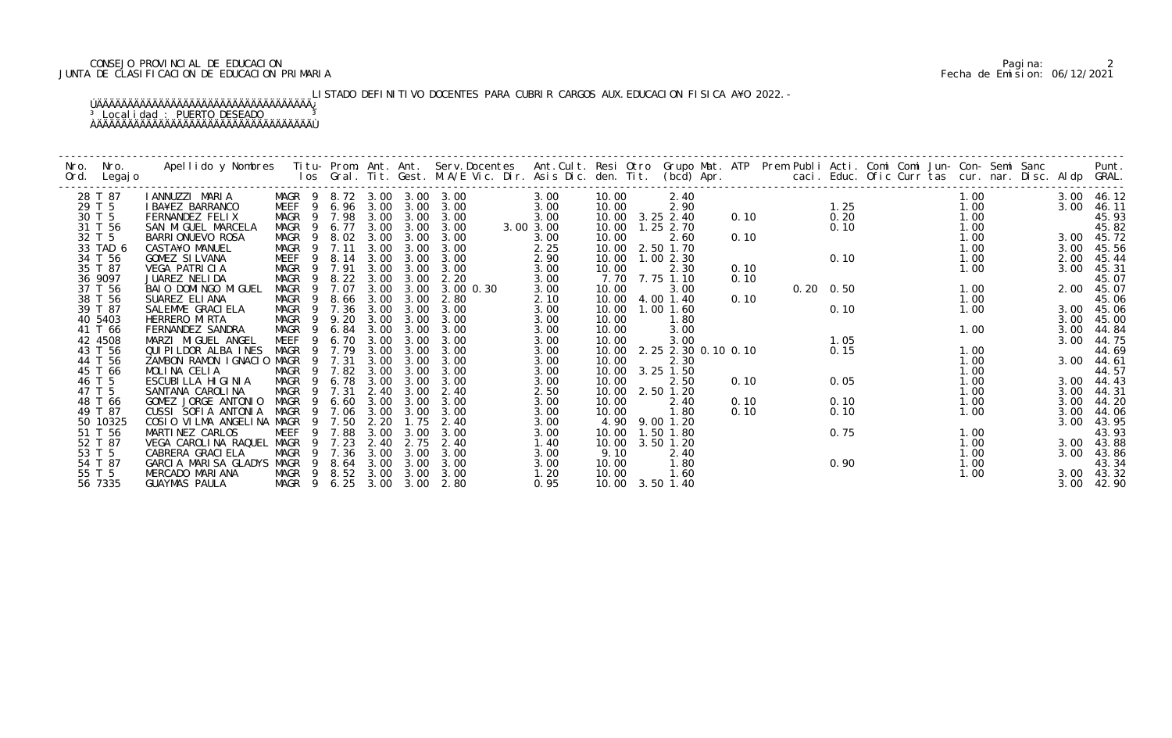# CONSEJO PROVINCIAL DE EDUCACION Pagina: 2 JUNTA DE CLASIFICACION DE EDUCACION PRIMARIA Fecha de Emision: 06/12/2021

# LISTADO DEFINITIVO DOCENTES PARA CUBRIR CARGOS AUX. EDUCACION FISICA A¥O 2022. –

| Nro. | Nro.<br>Ord. Legajo |                                  |                            |        |           |      |                  |           |  |           |       |                           |      |  |                   |  |                  |  |            |            |
|------|---------------------|----------------------------------|----------------------------|--------|-----------|------|------------------|-----------|--|-----------|-------|---------------------------|------|--|-------------------|--|------------------|--|------------|------------|
|      | 28 T 87             | IANNUZZI MARIA                   | MAGR 9 8.72 3.00 3.00 3.00 |        |           |      |                  |           |  | 3.00      | 10.00 | 2.40                      |      |  |                   |  | 1.00             |  | 3.00 46.12 |            |
|      | 29 T 5              | I BA¥EZ BARRANCO                 | MEEF 9 6.96 3.00 3.00 3.00 |        |           |      |                  |           |  | 3.00      | 10.00 | 2.90                      |      |  | 1.25              |  | 1.00             |  | 3.00       | 46.11      |
|      | 30 T 5              | FERNANDEZ FELIX                  | MAGR                       |        |           |      | 9 7.98 3.00 3.00 | 3.00      |  | 3.00      |       | 10.00 3.25 2.40           | 0.10 |  | 0.20              |  | $1.00$<br>$1.00$ |  |            | 45.93      |
|      | 31 T 56             | SAN MIGUEL MARCELA               | MAGR 9 6.77 3.00 3.00      |        |           |      |                  | 3.00      |  | 3.00 3.00 |       | 10.00  1.25  2.70         |      |  | 0.10              |  |                  |  |            | 45.82      |
|      | 32 T 5              | BARRI ONUEVO ROSA                | MAGR                       | - 9    | 8.02 3.00 |      | 3.00             | 3.00      |  | 3.00      | 10.00 | 2.60                      | 0.10 |  |                   |  | 1.00             |  | 3.00 45.72 |            |
|      | 33 TAD 6            | CASTA¥O MANUEL                   | MAGR 9 7.11                |        |           | 3.00 | 3.00             | 3.00      |  | 2.25      |       | 10.00 2.50 1.70           |      |  |                   |  | 1.00             |  | 3.00       | 45.56      |
|      | 34 T 56             | GOMEZ SILVANA                    | MEEF 9 8.14                |        |           | 3.00 | 3.00             | 3.00      |  | 2.90      |       | 10.00  1.00  2.30         |      |  | 0.10              |  | 1.00             |  | 2.00       | 45.44      |
|      | 35 T 87             | VEGA PATRICIA                    | MAGR                       | 9 7.91 |           | 3.00 | 3.00             | 3.00      |  | 3.00      | 10.00 | 2.30                      | 0.10 |  |                   |  | 1.00             |  | 3.00       | 45.31      |
|      | 36 9097             | JUAREZ NELIDA                    | MAGR                       | - 9    | 8.22      | 3.00 | 3.00             | 2.20      |  | 3.00      |       | 7.70 7.75 1.10            | 0.10 |  |                   |  |                  |  |            | 45.07      |
|      | 37 T 56             | BAIO DOMINGO MIGUEL              | MAGR 9 7.07                |        |           | 3.00 | 3.00             | 3.00 0.30 |  | 3.00      | 10.00 | 3.00                      |      |  | $0.20 \quad 0.50$ |  | 1.00             |  | 2.00       | 45.07      |
|      | 38 T 56             | SUAREZ ELIANA                    | MAGR 9 8.66 3.00           |        |           |      | 3.00             | 2.80      |  | 2.10      |       | 10.00 4.00 1.40           | 0.10 |  |                   |  | 1.00             |  |            | 45.06      |
|      | 39 T 87             | SALEMME GRACI ELA                | MAGR 9 7.36 3.00           |        |           |      | 3.00             | 3.00      |  | 3.00      |       | 10.00  1.00  1.60         |      |  | 0.10              |  | 1.00             |  | 3.00 45.06 |            |
|      | 40 5403             | HERRERO MIRTA                    | MAGR 9 9.20                |        |           | 3.00 | 3.00             | 3.00      |  | 3.00      | 10.00 | 1.80                      |      |  |                   |  |                  |  | 3.00       | 45.00      |
|      | 41 T 66             | FERNANDEZ SANDRA                 | MAGR 9 6.84                |        |           | 3.00 | 3.00             | 3.00      |  | 3.00      | 10.00 | 3.00                      |      |  |                   |  | 1.00             |  |            | 3.00 44.84 |
|      | 42 4508             | MARZI MIGUEL ANGEL               | MEEF 9 6.70                |        |           | 3.00 | 3.00             | 3.00      |  | 3.00      | 10.00 | 3.00                      |      |  | 1.05              |  |                  |  | 3.00 44.75 |            |
|      | 43 T 56             | QUI PI LDOR ALBA INES            | MAGR                       | 9 7.79 |           | 3.00 | 3.00             | 3.00      |  | 3.00      |       | 10.00 2.25 2.30 0.10 0.10 |      |  | 0.15              |  | 1.00             |  |            | 44.69      |
|      | 44 T 56             | ZAMBON RAMON IGNACIO MAGR        |                            | - 9    | 7.31      | 3.00 | 3.00             | 3.00      |  | 3.00      | 10.00 | 2.30                      |      |  |                   |  | 1.00             |  | 3.00       | 44.61      |
|      | 45 T 66             | MOLINA CELIA                     | MAGR 9 7.82                |        |           | 3.00 | 3.00             | 3.00      |  | 3.00      |       | 10.00 3.25 1.50           |      |  |                   |  | 1.00             |  |            | 44.57      |
|      | 46 T 5              | ESCUBILLA HIGINIA                | MAGR 9 6.78                |        |           | 3.00 | 3.00             | 3.00      |  | 3.00      | 10.00 | 2.50                      | 0.10 |  | 0.05              |  | 1.00             |  | 3.00 44.43 |            |
|      | 47 T 5              | SANTANA CAROLINA                 | MAGR 9 7.31                |        |           | 2.40 | 3.00             | 2.40      |  | 2.50      | 10.00 | 2.50 1.20                 |      |  |                   |  | 1.00             |  | 3.00       | 44.31      |
|      | 48 T 66             | GOMEZ JORGE ANTONIO              | MAGR                       | - 9    | 6.60      | 3.00 | 3.00             | 3.00      |  | 3.00      | 10.00 | 2.40                      | 0.10 |  | 0.10              |  | 1.00             |  | 3.00       | 44.20      |
|      | 49 T 87             | CUSSI SOFIA ANTONIA              | MAGR                       | 9 7.06 |           | 3.00 | 3.00             | 3.00      |  | 3.00      | 10.00 | 1.80                      | 0.10 |  | 0.10              |  | 1.00             |  | 3.00 44.06 |            |
|      | 50 10325            | COSIO VILMA ANGELINA MAGR        |                            | 9 7.50 |           | 2.20 | 1.75             | 2.40      |  | 3.00      |       | 4.90 9.00 1.20            |      |  |                   |  |                  |  | 3.00 43.95 |            |
|      | 51 T 56             | MARTINEZ CARLOS                  | MEEF                       | 9 7.88 |           | 3.00 | 3.00             | 3.00      |  | 3.00      |       | 10.00  1.50  1.80         |      |  | 0.75              |  | 1.00             |  |            | 43.93      |
|      | 52 T 87             | VEGA CAROLINA RAQUEL             | MAGR                       | -9     | 7.23      | 2.40 | 2.75             | 2.40      |  | 1.40      |       | 10.00 3.50 1.20           |      |  |                   |  | 1.00             |  | 3.00 43.88 |            |
|      | 53 T 5              | CABRERA GRACI ELA                | MAGR                       | 9 7.36 |           | 3.00 | 3.00             | 3.00      |  | 3.00      | 9.10  | 2.40                      |      |  |                   |  | 1.00             |  | 3.00 43.86 |            |
|      | 54 T 87             | GARCIA MARISA GLADYS MAGR 9 8.64 |                            |        |           | 3.00 | 3.00             | 3.00      |  | 3.00      | 10.00 | 1.80                      |      |  | 0.90              |  | 1.00             |  |            | 43.34      |
|      | 55 T 5              | MERCADO MARIANA                  | MAGR 9 8.52 3.00           |        |           |      | 3.00             | 3.00      |  | 1.20      | 10.00 | 1.60                      |      |  |                   |  | 1.00             |  | 3.00 43.32 |            |
|      | 56 7335             | GUAYMAS PAULA                    | MAGR 9 6.25 3.00 3.00 2.80 |        |           |      |                  |           |  | 0.95      |       | 10.00 3.50 1.40           |      |  |                   |  |                  |  |            | 3.00 42.90 |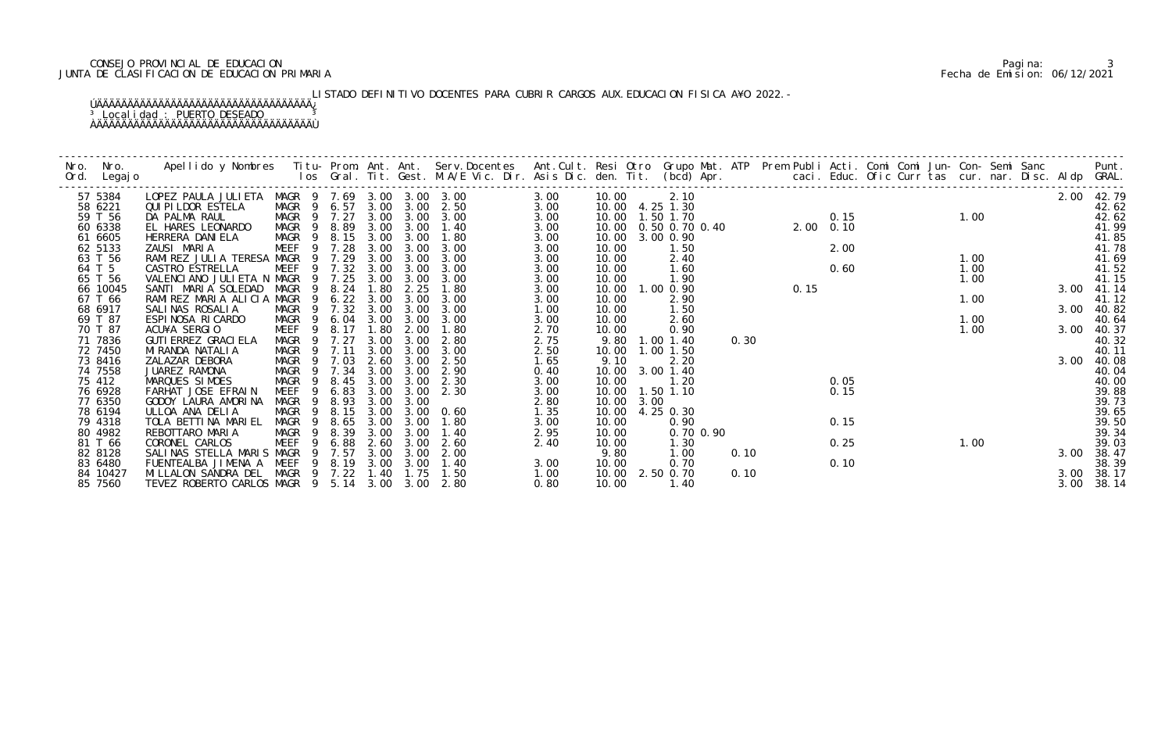# CONSEJO PROVINCIAL DE EDUCACION Pagina: 3 JUNTA DE CLASIFICACION DE EDUCACION PRIMARIA Fecha de Emision: 06/12/2021

# LISTADO DEFINITIVO DOCENTES PARA CUBRIR CARGOS AUX. EDUCACION FISICA A¥O 2022. –

| Nro. | Nro.<br>Ord. Legajo | Apellido y Nombres Iitu-Prom. Ant. Ant. Serv.Docentes Ant.Cult. Resi Otro Grupo Mat. ATP Prem Publi Acti. Comi Comi Jun-Con-Semi Sanc Punt.<br>Ios Gral. Tit. Gest. M.A/E Vic. Dir. Asis Dic. den. Tit. (bcd) Apr. |                            |             |                   |                   |                            |              |       |      |                                     |           |      |      |                                                              |  |      |  |              |            |
|------|---------------------|--------------------------------------------------------------------------------------------------------------------------------------------------------------------------------------------------------------------|----------------------------|-------------|-------------------|-------------------|----------------------------|--------------|-------|------|-------------------------------------|-----------|------|------|--------------------------------------------------------------|--|------|--|--------------|------------|
|      | 57 5384             | LOPEZ PAULA JULIETA MAGR 9 7.69 3.00 3.00 3.00                                                                                                                                                                     |                            |             |                   |                   |                            | 3.00         | 10.00 |      | 2.10                                |           |      |      |                                                              |  |      |  |              | 2.00 42.79 |
|      | 58 6221             | QUI PI LDOR ESTELA                                                                                                                                                                                                 |                            |             |                   |                   | MAGR 9 6.57 3.00 3.00 2.50 | 3.00         |       |      | 10.00 4.25 1.30                     |           |      |      | 0.15                                                         |  |      |  |              | 42.62      |
|      | 59 T 56             | DA PALMA RAUL                                                                                                                                                                                                      | MAGR 9 7.27                |             |                   |                   | 3.00 3.00 3.00             | 3.00         |       |      | 10.00  1.50  1.70                   |           |      |      |                                                              |  |      |  |              | 42.62      |
|      | 60 6338             | EL HARES LEONARDO                                                                                                                                                                                                  | MAGR 9 8.89                |             |                   |                   | 3.00 3.00 1.40             | 3.00         |       |      | 10.00  0.50  0.70  0.40  2.00  0.10 |           |      |      | $\begin{array}{ccc} 0.15 & & 1.00 \\ 0.10 & & & \end{array}$ |  |      |  |              | 41.99      |
|      | 61 6605             | HERRERA DANI ELA                                                                                                                                                                                                   | MAGR 9 8.15 3.00 3.00      |             |                   |                   | 1.80                       | 3.00         | 10.00 |      | 3.00 0.90                           |           |      |      |                                                              |  |      |  |              | 41.85      |
|      | 62 5133             | ZAUSI MARIA                                                                                                                                                                                                        | MEEF 9 7.28                |             | 3.00              | 3.00              | 3.00                       | 3.00         | 10.00 |      | 1.50                                |           |      |      | $2.00$<br>$0.60$                                             |  |      |  |              | 41.78      |
|      | 63 T 56             | RAMIREZ JULIA TERESA MAGR 9 7.29                                                                                                                                                                                   |                            |             | 3.00              | 3.00              | 3.00                       | 3.00         | 10.00 |      | 2.40                                |           |      |      |                                                              |  | 1.00 |  |              | 41.69      |
|      | 64 T 5              | CASTRO ESTRELLA                                                                                                                                                                                                    | MEEF                       | 9 7.32      | 3.00              | 3.00              | 3.00                       | 3.00         | 10.00 |      | 1.60                                |           |      |      |                                                              |  | 1.00 |  |              | 41.52      |
|      | 65 T 56             | VALENCIANO JULIETA N MAGR                                                                                                                                                                                          |                            | 9 7.25      |                   | 3.00 3.00         | 3.00                       | 3.00         | 10.00 |      | 1.90                                |           |      |      |                                                              |  | 1.00 |  |              | 41.15      |
|      | 66 10045            | SANTI MARIA SOLEDAD                                                                                                                                                                                                | MAGR                       | 8.24        | 1.80              | 2.25              | 1.80                       | 3.00         |       |      | 10.00  1.00  0.90                   |           |      | 0.15 |                                                              |  |      |  | 3.00         | 41.14      |
|      | 67 T 66             | RAMIREZ MARIA ALICIA MAGR                                                                                                                                                                                          |                            | - 9         | $6.22 \quad 3.00$ | 3.00              | 3.00                       | 3.00         | 10.00 |      | 2.90                                |           |      |      |                                                              |  | 1.00 |  |              | 41.12      |
|      | 68 6917             | SALINAS ROSALIA                                                                                                                                                                                                    | MAGR 9 7.32                |             |                   | $3.00 \quad 3.00$ | 3.00                       | 1.00         | 10.00 |      | 1.50                                |           |      |      |                                                              |  |      |  | 3.00         | 40.82      |
|      | 69 T 87             | ESPINOSA RICARDO                                                                                                                                                                                                   | MAGR 9 6.04 3.00 3.00 3.00 |             |                   |                   |                            | 3.00         | 10.00 |      | 2.60                                |           |      |      |                                                              |  | 1.00 |  |              | 40.64      |
|      | 70 T 87             | ACU¥A SERGIO                                                                                                                                                                                                       | MEEF                       | 8.17<br>- 9 | 1.80              | 2.00              | 1.80                       | 2.70         | 10.00 |      | 0.90                                |           |      |      |                                                              |  | 1.00 |  |              | 3.00 40.37 |
|      | 71 7836             | GUTI ERREZ GRACI ELA                                                                                                                                                                                               | MAGR 9 7.27                |             | 3.00              | 3.00              | 2.80                       | 2.75         |       |      | 9.80 1.00 1.40                      |           | 0.30 |      |                                                              |  |      |  |              | 40.32      |
|      | 72 7450             | MI RANDA NATALI A                                                                                                                                                                                                  | MAGR 9 7.11                |             | 3.00              | 3.00              | 3.00                       | 2.50         |       |      | 10.00  1.00  1.50                   |           |      |      |                                                              |  |      |  |              | 40.11      |
|      | 73 8416             | ZALAZAR DEBORA                                                                                                                                                                                                     | MAGR                       | 9 7.03      |                   | 2.60 3.00         | 2.50                       | 1.65         | 9.10  |      | 2.20                                |           |      |      |                                                              |  |      |  | 3.00         | 40.08      |
|      | 74 7558             | JUAREZ RAMONA                                                                                                                                                                                                      | MAGR 9 7.34                |             | 3.00              | 3.00              | 2.90                       | 0.40         | 10.00 |      | 3.00 1.40                           |           |      |      |                                                              |  |      |  |              | 40.04      |
|      | 75 412              | MARQUES SIMOES                                                                                                                                                                                                     | MAGR                       | - 9<br>8.45 | 3.00              | 3.00              | 2.30                       | 3.00         | 10.00 |      | 1.20                                |           |      |      | 0.05                                                         |  |      |  |              | 40.00      |
|      | 76 6928             | FARHAT JOSE EFRAIN                                                                                                                                                                                                 | MEEF <sub>9</sub>          | 6.83        | 3.00              | 3.00              | 2.30                       | 3.00         |       |      | 10.00  1.50  1.10                   |           |      |      | 0.15                                                         |  |      |  |              | 39.88      |
|      | 77 6350             | GODOY LAURA AMORINA                                                                                                                                                                                                | MAGR                       | 8.93<br>- 9 | 3.00              | 3.00              |                            | 2.80         | 10.00 | 3.00 |                                     |           |      |      |                                                              |  |      |  |              | 39.73      |
|      | 78 6194             | ULLOA ANA DELIA                                                                                                                                                                                                    | MAGR 9                     | 8.15        | 3.00              | 3.00              | 0.60                       | 1.35         | 10.00 |      | 4.25 0.30                           |           |      |      |                                                              |  |      |  |              | 39.65      |
|      | 79 4318             | TOLA BETTINA MARIEL                                                                                                                                                                                                | MAGR 9                     | 8.65        | 3.00              | 3.00              | 1.80                       | 3.00         | 10.00 |      | 0.90                                |           |      |      | 0.15                                                         |  |      |  |              | 39.50      |
|      | 80 4982             | REBOTTARO MARIA                                                                                                                                                                                                    | MAGR 9 8.39                |             | 3.00              | 3.00              | 1.40                       | 2.95         | 10.00 |      |                                     | 0.70 0.90 |      |      |                                                              |  |      |  |              | 39.34      |
|      | 81 T 66             | CORONEL CARLOS                                                                                                                                                                                                     | <b>MEEF</b>                | 6.88<br>9   | 2.60              | 3.00              | 2.60                       | 2.40         | 10.00 |      | 1.30                                |           |      |      | 0.25                                                         |  | 1.00 |  |              | 39.03      |
|      | 82 8128             | SALINAS STELLA MARIS MAGR 9                                                                                                                                                                                        |                            | 7.57        | 3.00              | 3.00              | 2.00                       |              | 9.80  |      | 1.00                                |           | 0.10 |      |                                                              |  |      |  | 3.00         | 38.47      |
|      | 83 6480             | FUENTEALBA JIMENA A MEEF 9 8.19 3.00 3.00<br>MILLALON SANDRA DEL MAGR 9 7.22                                                                                                                                       |                            |             |                   | 1.40 1.75         | 1.40<br>1.50               | 3.00         | 10.00 |      | 0.70<br>10.00 2.50 0.70             |           |      |      | 0.10                                                         |  |      |  |              | 38.39      |
|      | 84 10427            | TEVEZ ROBERTO CARLOS MAGR 9 5.14 3.00 3.00 2.80                                                                                                                                                                    |                            |             |                   |                   |                            | 1.00<br>0.80 | 10.00 |      | 1.40                                |           | 0.10 |      |                                                              |  |      |  | 3.00<br>3.00 | 38.17      |
|      | 85 7560             |                                                                                                                                                                                                                    |                            |             |                   |                   |                            |              |       |      |                                     |           |      |      |                                                              |  |      |  |              | 38.14      |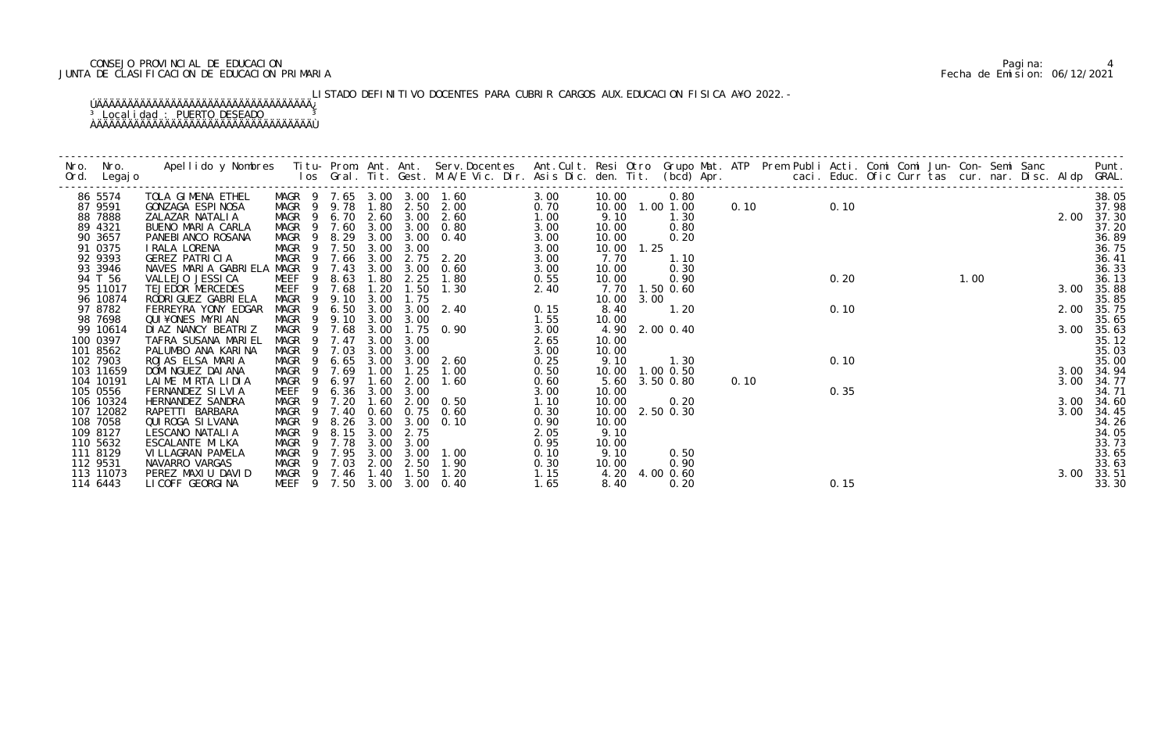# CONSEJO PROVINCIAL DE EDUCACION Pagina: 4 JUNTA DE CLASIFICACION DE EDUCACION PRIMARIA Fecha de Emision: 06/12/2021

# LISTADO DEFINITIVO DOCENTES PARA CUBRIR CARGOS AUX. EDUCACION FISICA A¥O 2022. –

| Nro. | Nro.                 | Apellido y Nombres  Titu- Prom. Ant. Ant. Serv.Docentes  Ant.Cult. Resi Otro Grupo Mat. ATP  Prem Publi Acti. Comi Comi Jun- Con- Semi Sanc        Punt.<br>Ios Gral. Tit. Gest. M.A/E Vic. Dir. Asis Dic. den. Tit. (bcd) Apr. |                  |                |              |              |              |                            |              |               |                   |      |      |      |  |      |      |                |
|------|----------------------|---------------------------------------------------------------------------------------------------------------------------------------------------------------------------------------------------------------------------------|------------------|----------------|--------------|--------------|--------------|----------------------------|--------------|---------------|-------------------|------|------|------|--|------|------|----------------|
|      | Ord. Legajo          |                                                                                                                                                                                                                                 |                  |                |              |              |              |                            |              |               |                   |      |      |      |  |      |      |                |
|      | 86 5574              | TOLA GIMENA ETHEL                                                                                                                                                                                                               |                  |                |              |              |              | MAGR 9 7.65 3.00 3.00 1.60 | 3.00         | 10.00         | 0.80              |      |      |      |  |      |      | 38.05          |
|      | 87 9591              | GONZAGA ESPINOSA                                                                                                                                                                                                                |                  |                |              |              |              | MAGR 9 9.78 1.80 2.50 2.00 | 0.70         |               | 10.00  1.00  1.00 |      | 0.10 | 0.10 |  |      |      | 37.98          |
|      | 88 7888              | ZALAZAR NATALIA                                                                                                                                                                                                                 | MAGR 9 6.70 2.60 |                |              |              |              | $3.00 \quad 2.60$          | 1.00         | 9.10          | 1.30              |      |      |      |  |      |      | 2.00 37.30     |
|      | 89 4321              | BUENO MARIA CARLA                                                                                                                                                                                                               |                  |                |              |              |              | MAGR 9 7.60 3.00 3.00 0.80 | 3.00         | 10.00         | 0.80              |      |      |      |  |      |      | 37.20          |
|      | 90 3657              | PANEBI ANCO ROSANA                                                                                                                                                                                                              | MAGR 9 8.29      |                |              | 3.00         | 3.00         | 0.40                       | 3.00         | 10.00         | 0.20              |      |      |      |  |      |      | 36.89          |
|      | 91 0375              | I RALA LORENA                                                                                                                                                                                                                   | MAGR 9 7.50 3.00 |                |              |              | 3.00         |                            | 3.00         | 10.00 1.25    |                   |      |      |      |  |      |      | 36.75          |
|      | 92 9393              | GEREZ PATRICIA                                                                                                                                                                                                                  | MAGR 9 7.66      |                |              | 3.00         |              | 2.75 2.20                  | 3.00         | 7.70          | 1.10              |      |      |      |  |      |      | 36.41          |
|      | 93 3946              | NAVES MARIA GABRIELA MAGR                                                                                                                                                                                                       |                  |                | 9 7.43       | 3.00         | 3.00         | 0.60                       | 3.00         | 10.00         | 0.30              |      |      |      |  |      |      | 36.33          |
|      | 94 T 56              | VALLEJO JESSI CA                                                                                                                                                                                                                | MEEF             | 9              | 8.63         | 1.80         | 2.25         | 1.80                       | 0.55         | 10.00         | 0.90              |      |      | 0.20 |  | 1.00 |      | 36.13          |
|      | 95 11017             | TEJEDOR MERCEDES                                                                                                                                                                                                                | MEEF 9 7.68      |                |              | 1.20         | 1.50         | 1.30                       | 2.40         |               | 7.70 1.50 0.60    |      |      |      |  |      | 3.00 | 35.88          |
|      | 96 10874             | RODRI GUEZ GABRI ELA                                                                                                                                                                                                            | MAGR 9 9.10      |                |              | 3.00         | 1.75         |                            |              | 10.00 3.00    |                   |      |      |      |  |      |      | 35.85          |
|      | 97 8782              | FERREYRA YONY EDGAR                                                                                                                                                                                                             | MAGR 9 6.50      |                |              | 3.00         |              | $3.00 \quad 2.40$          | 0.15         | 8.40          | 1.20              |      |      | 0.10 |  |      | 2.00 | 35.75          |
|      | 98 7698              | QUI¥ONES MYRIAN                                                                                                                                                                                                                 | MAGR 9           |                | 9.10         | 3.00         | 3.00         |                            | 1.55         | 10.00         |                   |      |      |      |  |      |      | 35.65          |
|      | 99 10614             | DIAZ NANCY BEATRIZ                                                                                                                                                                                                              | MAGR 9 7.68      |                |              | 3.00         |              | $1.75 \quad 0.90$          | 3.00         |               | 4.90 2.00 0.40    |      |      |      |  |      |      | 3.00 35.63     |
|      | 100 0397             | TAFRA SUSANA MARIEL                                                                                                                                                                                                             | MAGR 9 7.47      |                |              | 3.00         | 3.00         |                            | 2.65         | 10.00         |                   |      |      |      |  |      |      | 35.12          |
|      | 101 8562             | PALUMBO ANA KARINA                                                                                                                                                                                                              | MAGR             | $\overline{9}$ | 7.03         | 3.00         | 3.00         |                            | 3.00         | 10.00         |                   |      |      |      |  |      |      | 35.03          |
|      | 102 7903             | ROJAS ELSA MARIA                                                                                                                                                                                                                | MAGR 9           |                | 6.65         | 3.00         | 3.00         | 2.60                       | 0.25         | 9.10          | 1.30              |      |      | 0.10 |  |      |      | 35.00          |
|      | 103 11659            | DOMI NGUEZ DAI ANA                                                                                                                                                                                                              | MAGR 9 7.69      |                |              | 1.00         | 1.25         | 1.00                       | 0.50         |               | 10.00 1.00 0.50   |      |      |      |  |      |      | 3.00 34.94     |
|      | 104 10191            | LAIME MIRTA LIDIA                                                                                                                                                                                                               | MAGR 9           |                | 6.97         | 1.60         | 2.00         | 1.60                       | 0.60         |               | 5.60 3.50 0.80    | 0.10 |      |      |  |      |      | 3.00 34.77     |
|      | 105 0556             | FERNANDEZ SILVIA                                                                                                                                                                                                                | MEEF             |                | 9 6.36       | 3.00         | 3.00         |                            | 3.00         | 10.00         |                   |      |      | 0.35 |  |      |      | 34.71          |
|      | 106 10324            | HERNANDEZ SANDRA                                                                                                                                                                                                                | MAGR             |                | 7.20         | 1.60         | 2.00         | 0. 50                      | 1.10         | 10.00         | 0.20              |      |      |      |  |      |      | 3.00 34.60     |
|      | 107 12082            | RAPETTI BARBARA                                                                                                                                                                                                                 | MAGR             | $\overline{9}$ | 9 7.40       | 0.60         |              | $0.75$ 0.60                | 0.30         |               | 10.00 2.50 0.30   |      |      |      |  |      | 3.00 | 34.45          |
|      | 108 7058<br>109 8127 | QUI ROGA SI LVANA<br>LESCANO NATALIA                                                                                                                                                                                            | MAGR<br>MAGR     | 9              | 8.26<br>8.15 | 3.00<br>3.00 | 3.00<br>2.75 | 0.10                       | 0.90<br>2.05 | 10.00<br>9.10 |                   |      |      |      |  |      |      | 34.26<br>34.05 |
|      | 110 5632             |                                                                                                                                                                                                                                 |                  | $\overline{9}$ | 7.78         |              |              |                            |              |               |                   |      |      |      |  |      |      | 33.73          |
|      | 111 8129             | ESCALANTE MI LKA<br>VI LLAGRAN PAMELA                                                                                                                                                                                           | MAGR<br>MAGR     |                | 9 7.95       | 3.00<br>3.00 | 3.00<br>3.00 | 1.00                       | 0.95<br>0.10 | 10.00<br>9.10 | 0.50              |      |      |      |  |      |      | 33.65          |
|      | 112 9531             | NAVARRO VARGAS                                                                                                                                                                                                                  | MAGR 9 7.03      |                |              | 2.00         |              | 2.50 1.90                  | 0.30         | 10.00         | 0.90              |      |      |      |  |      |      | 33.63          |
|      | 113 11073            | PEREZ MAXIU DAVID                                                                                                                                                                                                               | MAGR 9 7.46 1.40 |                |              |              | 1.50         | 1.20                       | 1.15         |               | 4.20 4.00 0.60    |      |      |      |  |      | 3.00 | 33.51          |
|      | 114 6443             | LI COFF GEORGI NA                                                                                                                                                                                                               |                  |                |              |              |              | MEEF 9 7.50 3.00 3.00 0.40 | 1.65         | 8.40          | 0.20              |      |      | 0.15 |  |      |      | 33.30          |
|      |                      |                                                                                                                                                                                                                                 |                  |                |              |              |              |                            |              |               |                   |      |      |      |  |      |      |                |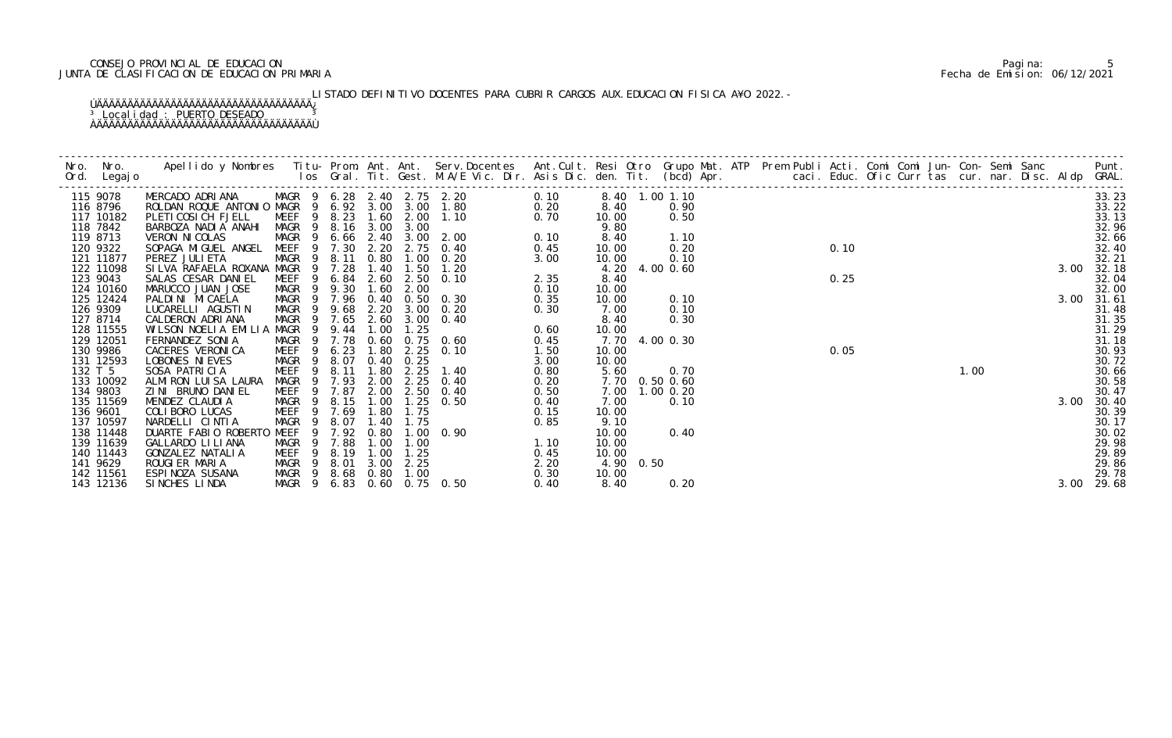# CONSEJO PROVINCIAL DE EDUCACION Pagina: 5 JUNTA DE CLASIFICACION DE EDUCACION PRIMARIA Fecha de Emision: 06/12/2021

LISTADO DEFINITIVO DOCENTES PARA CUBRIR CARGOS AUX. EDUCACION FISICA A¥O 2022. –

|         | Nro. Nro.<br>Ord. Legajo | Apellido y Nombres Titu- Prom. Ant. Ant. Serv.Docentes Ant.Cult. Resi Otro Grupo Mat. ATP Prem Publi Acti. Comi Comi Jun- Con- Semi Sanc Punt.<br>Ios Gral. Tit. Gest. M.A/E Vic. Dir. Asis Dic. den. Tit. (bcd) Apr. |                        |                            |           |           |                                                                   |      |                |                |      |  |      |  |      |  |      |                    |
|---------|--------------------------|-----------------------------------------------------------------------------------------------------------------------------------------------------------------------------------------------------------------------|------------------------|----------------------------|-----------|-----------|-------------------------------------------------------------------|------|----------------|----------------|------|--|------|--|------|--|------|--------------------|
|         | 115 9078                 | MERCADO ADRIANA MAGR 9 6.28 2.40 2.75 2.20<br>ROLDAN ROQUE ANTONIO MAGR 9 6.92 3.00 3.00 1.80                                                                                                                         |                        |                            |           |           |                                                                   | 0.10 | 8.40 1.00 1.10 |                |      |  |      |  |      |  |      | 33.23              |
|         | 116 8796                 |                                                                                                                                                                                                                       |                        |                            |           |           |                                                                   |      | 8.40           |                | 0.90 |  |      |  |      |  |      | 33.22              |
|         | 117 10182                | PLETI COSI CH FJELL                                                                                                                                                                                                   |                        |                            |           |           | MEEF 9 8.23 1.60 2.00 1.10                                        |      | 10.00          |                | 0.50 |  |      |  |      |  |      | 33.13              |
|         | 118 7842                 | BARBOZA NADIA ANAHI                                                                                                                                                                                                   |                        | MAGR 9 8.16 3.00 3.00      |           |           | $0.20$<br>0.70<br>0.10                                            |      | 9.80           |                |      |  | 0.10 |  |      |  |      | 32.96              |
|         | 119 8713                 | VERON NI COLAS                                                                                                                                                                                                        |                        |                            |           |           | MAGR 9 6.66 2.40 3.00 2.00                                        |      | 8.40           |                | 1.10 |  |      |  |      |  |      | 32.66              |
|         | 120 9322                 | SOPAGA MIGUEL ANGEL MEEF 9 7.30 2.20                                                                                                                                                                                  |                        |                            |           |           | 2.75 0.40                                                         | 0.45 | 10.00          |                | 0.20 |  |      |  |      |  |      | 32.40              |
|         | 121 11877                | PEREZ JULI ETA                                                                                                                                                                                                        |                        | MAGR 9 8.11                | 0.80      | 1.00      | 0.20                                                              | 3.00 | 10.00          |                | 0.10 |  |      |  |      |  |      | 32.21              |
|         | 122 11098                | SILVA RAFAELA ROXANA MAGR 9 7.28                                                                                                                                                                                      |                        |                            | 1.40      | 1.50      | 1. 20                                                             |      |                | 4.20 4.00 0.60 |      |  |      |  |      |  | 3.00 | 32.18              |
|         | 123 9043                 | SALAS CESAR DANIEL                                                                                                                                                                                                    |                        | MEEF 9 6.84                | 2.60      | 2.50      | 0.10                                                              | 2.35 | 8.40           |                |      |  | 0.25 |  |      |  |      | 32.04              |
|         | 124 10160                | MARUCCO JUAN JOSE                                                                                                                                                                                                     | MAGR<br>$\overline{9}$ | 9.30                       | 1.60      | 2.00      |                                                                   | 0.10 | 10.00          |                |      |  |      |  |      |  |      | 32.00              |
|         | 125 12424                | PALDINI MICAELA                                                                                                                                                                                                       |                        | MAGR 9 7.96 0.40           |           |           | $0.50 \quad 0.30$                                                 | 0.35 | 10.00          |                | 0.10 |  |      |  |      |  | 3.00 | 31.61              |
|         | 126 9309                 | LUCARELLI AGUSTIN                                                                                                                                                                                                     | MAGR                   | 9 9.68                     | 2.20      | 3.00      | 0.20                                                              | 0.30 | 7.00           |                | 0.10 |  |      |  |      |  |      | 31.48              |
|         | 127 8714                 | CALDERON ADRIANA                                                                                                                                                                                                      |                        | MAGR 9 7.65                |           | 2.60 3.00 | 0.40                                                              |      | 8.40           |                | 0.30 |  |      |  |      |  |      | 31.35              |
|         | 128 11555                | WILSON NOELIA EMILIA MAGR                                                                                                                                                                                             |                        | 9 9.44                     | 1.00      | 1.25      |                                                                   | 0.60 | 10.00          |                |      |  |      |  |      |  |      | $31.29$<br>$31.18$ |
|         | 129 12051                | FERNANDEZ SONIA                                                                                                                                                                                                       |                        | MAGR 9 7.78                | 0.60      |           | $0.75$ 0.60                                                       | 0.45 |                | 7.70 4.00 0.30 |      |  |      |  |      |  |      |                    |
|         | 130 9986                 | CACERES VERONICA                                                                                                                                                                                                      |                        | MEEF 9 6.23                | 1.80      |           | $2.25$ 0.10                                                       | 1.50 | 10.00          |                |      |  | 0.05 |  |      |  |      | 30.93              |
|         | 131 12593                | LOBONES NI EVES                                                                                                                                                                                                       |                        | MAGR 9 8.07                | 0.40      | 0.25      |                                                                   | 3.00 | 10.00          |                |      |  |      |  |      |  |      | 30.72              |
| 132 T 5 |                          | SOSA PATRICIA                                                                                                                                                                                                         | 9<br>MEEF              | 8.11                       | 1.80      | 2.25      | 1.40                                                              | 0.80 | 5.60           |                | 0.70 |  |      |  | 1.00 |  |      | 30.66              |
|         | 133 10092                | ALMIRON LUISA LAURA                                                                                                                                                                                                   | MAGR<br>$\overline{9}$ | 7.93                       | 2.00      | 2.25      | 0.40                                                              | 0.20 | 7.70 0.50 0.60 |                |      |  |      |  |      |  |      | 30.58              |
|         | 134 9803                 | ZINI BRUNO DANIEL                                                                                                                                                                                                     |                        | MEEF 9 7.87                | 2.00      |           | 2.50 0.40                                                         | 0.50 | 7.00           | $1.00$ 0.20    |      |  |      |  |      |  |      | 30.47              |
|         | 135 11569                | MENDEZ CLAUDIA                                                                                                                                                                                                        |                        | MAGR 9 8.15                | 1.00      |           | $1.25 \quad 0.50$                                                 | 0.40 | 7.00           |                | 0.10 |  |      |  |      |  | 3.00 | 30.40              |
|         | 136 9601                 | COLIBORO LUCAS                                                                                                                                                                                                        |                        | MEEF 9 7.69                | 1.80      | 1.75      |                                                                   | 0.15 | 10.00          |                |      |  |      |  |      |  |      | 30.39              |
|         | 137 10597                | NARDELLI CINTIA                                                                                                                                                                                                       | 9<br>MAGR              | 8.07                       | 1.40      | 1.75      |                                                                   | 0.85 | 9.10           |                |      |  |      |  |      |  |      | 30.17              |
|         | 138 11448                | DUARTE FABIO ROBERTO MEEF                                                                                                                                                                                             | 9                      |                            | 7.92 0.80 |           | $1.00 \quad 0.90$<br>$\begin{array}{c} 1.10 \\ 0.4^r \end{array}$ |      | 10.00          |                | 0.40 |  |      |  |      |  |      | 30.02              |
|         | 139 11639                | GALLARDO LI LI ANA                                                                                                                                                                                                    |                        | MAGR 9 7.88                | 1.00      | 1.00      |                                                                   |      | 10.00          |                |      |  |      |  |      |  |      | 29.98              |
|         | 140 11443                | GONZALEZ NATALIA                                                                                                                                                                                                      | MEEF <sub>9</sub>      | 8.19                       | 1.00      | 1.25      |                                                                   |      | 10.00          |                |      |  |      |  |      |  |      | 29.89              |
|         | 141 9629                 | ROUGIER MARIA                                                                                                                                                                                                         |                        | MAGR 9 8.01                |           | 3.00 2.25 |                                                                   | 2.20 | 4.90 0.50      |                |      |  |      |  |      |  |      | 29.86              |
|         | 142 11561                | ESPINOZA SUSANA                                                                                                                                                                                                       |                        | MAGR 9 8.68 0.80           |           | 1.00      |                                                                   | 0.30 | 10.00          |                |      |  |      |  |      |  |      | 29.78              |
|         | 143 12136                | SINCHES LINDA                                                                                                                                                                                                         |                        | MAGR 9 6.83 0.60 0.75 0.50 |           |           |                                                                   | 0.40 | 8.40           |                | 0.20 |  |      |  |      |  | 3.00 | 29.68              |
|         |                          |                                                                                                                                                                                                                       |                        |                            |           |           |                                                                   |      |                |                |      |  |      |  |      |  |      |                    |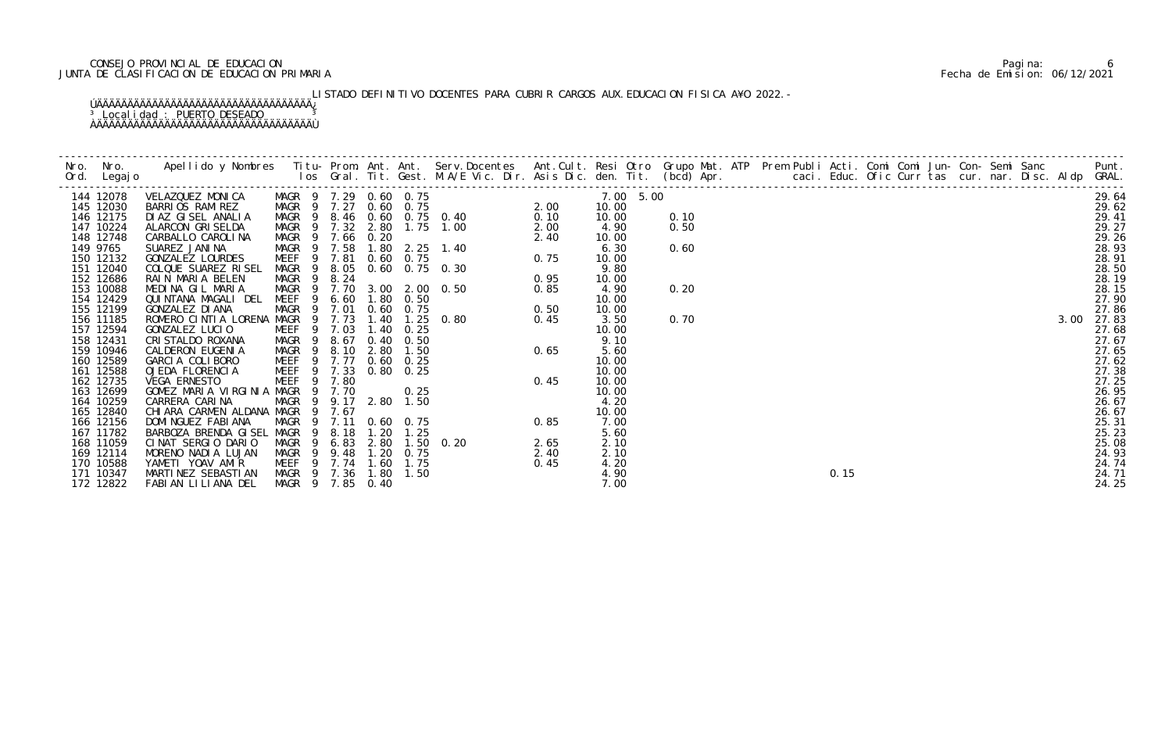# CONSEJO PROVINCIAL DE EDUCACION Pagina: 6 JUNTA DE CLASIFICACION DE EDUCACION PRIMARIA Fecha de Emision: 06/12/2021

LISTADO DEFINITIVO DOCENTES PARA CUBRIR CARGOS AUX. EDUCACION FISICA A¥O 2022. –

| 144 12078 |  |  |  |  | 7.00 5.00 |      |  |  |  |  |  |
|-----------|--|--|--|--|-----------|------|--|--|--|--|--|
| 145 12030 |  |  |  |  | 10.00     |      |  |  |  |  |  |
| 146 12175 |  |  |  |  | 10.00     | 0.10 |  |  |  |  |  |
| 147 10224 |  |  |  |  | 4.90      | 0.50 |  |  |  |  |  |
| 148 12748 |  |  |  |  | 10.00     |      |  |  |  |  |  |
| 149 9765  |  |  |  |  | 6.30      | 0.60 |  |  |  |  |  |
| 150 12132 |  |  |  |  | 10.00     |      |  |  |  |  |  |
| 151 12040 |  |  |  |  | 9.80      |      |  |  |  |  |  |
| 152 12686 |  |  |  |  | 10.00     |      |  |  |  |  |  |
| 153 10088 |  |  |  |  | 4.90      | 0.20 |  |  |  |  |  |
| 154 12429 |  |  |  |  | 10.00     |      |  |  |  |  |  |
| 155 12199 |  |  |  |  | 10.00     |      |  |  |  |  |  |
| 156 11185 |  |  |  |  | 3.50      | 0.70 |  |  |  |  |  |
| 157 12594 |  |  |  |  | 10.00     |      |  |  |  |  |  |
| 158 12431 |  |  |  |  | 9.10      |      |  |  |  |  |  |
| 159 10946 |  |  |  |  | 5.60      |      |  |  |  |  |  |
| 160 12589 |  |  |  |  | 10.00     |      |  |  |  |  |  |
| 161 12588 |  |  |  |  | 10.00     |      |  |  |  |  |  |
| 162 12735 |  |  |  |  | 10.00     |      |  |  |  |  |  |
| 163 12699 |  |  |  |  | 10.00     |      |  |  |  |  |  |
| 164 10259 |  |  |  |  | 4.20      |      |  |  |  |  |  |
| 165 12840 |  |  |  |  | 10.00     |      |  |  |  |  |  |
| 166 12156 |  |  |  |  | 7.00      |      |  |  |  |  |  |
| 167 11782 |  |  |  |  | 5.60      |      |  |  |  |  |  |
| 168 11059 |  |  |  |  | 2.10      |      |  |  |  |  |  |
| 169 12114 |  |  |  |  | 2.10      |      |  |  |  |  |  |
| 170 10588 |  |  |  |  | 4.20      |      |  |  |  |  |  |
| 171 10347 |  |  |  |  | 4.90      |      |  |  |  |  |  |
| 172 12822 |  |  |  |  | 7.00      |      |  |  |  |  |  |